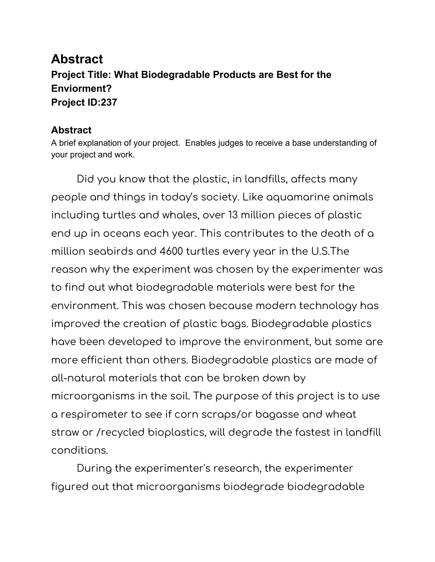## **Abstract Project Title: What Biodegradable Products are Best for the Enviorment? Project ID:237**

## **Abstract**

A brief explanation of your project. Enables judges to receive a base understanding of your project and work.

Did you know that the plastic, in landfills, affects many people and things in today's society. Like aquamarine animals including turtles and whales, over 13 million pieces of plastic end up in oceans each year. This contributes to the death of a million seabirds and 4600 turtles every year in the U.S.The reason why the experiment was chosen by the experimenter was to find out what biodegradable materials were best for the environment. This was chosen because modern technology has improved the creation of plastic bags. Biodegradable plastics have been developed to improve the environment, but some are more efficient than others. Biodegradable plastics are made of all-natural materials that can be broken down by microorganisms in the soil. The purpose of this project is to use a respirometer to see if corn scraps/or bagasse and wheat straw or /recycled bioplastics, will degrade the fastest in landfill conditions.

During the experimenter's research, the experimenter figured out that microorganisms biodegrade biodegradable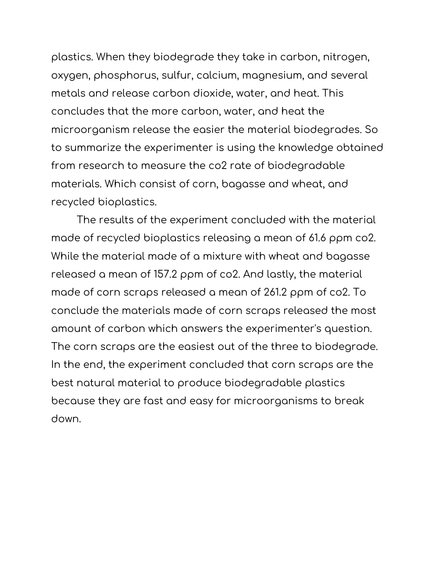plastics. When they biodegrade they take in carbon, nitrogen, oxygen, phosphorus, sulfur, calcium, magnesium, and several metals and release carbon dioxide, water, and heat. This concludes that the more carbon, water, and heat the microorganism release the easier the material biodegrades. So to summarize the experimenter is using the knowledge obtained from research to measure the co2 rate of biodegradable materials. Which consist of corn, bagasse and wheat, and recycled bioplastics.

The results of the experiment concluded with the material made of recycled bioplastics releasing a mean of 61.6 ppm co2. While the material made of a mixture with wheat and bagasse released a mean of 157.2 ppm of co2. And lastly, the material made of corn scraps released a mean of 261.2 ppm of co2. To conclude the materials made of corn scraps released the most amount of carbon which answers the experimenter's question. The corn scraps are the easiest out of the three to biodegrade. In the end, the experiment concluded that corn scraps are the best natural material to produce biodegradable plastics because they are fast and easy for microorganisms to break down.